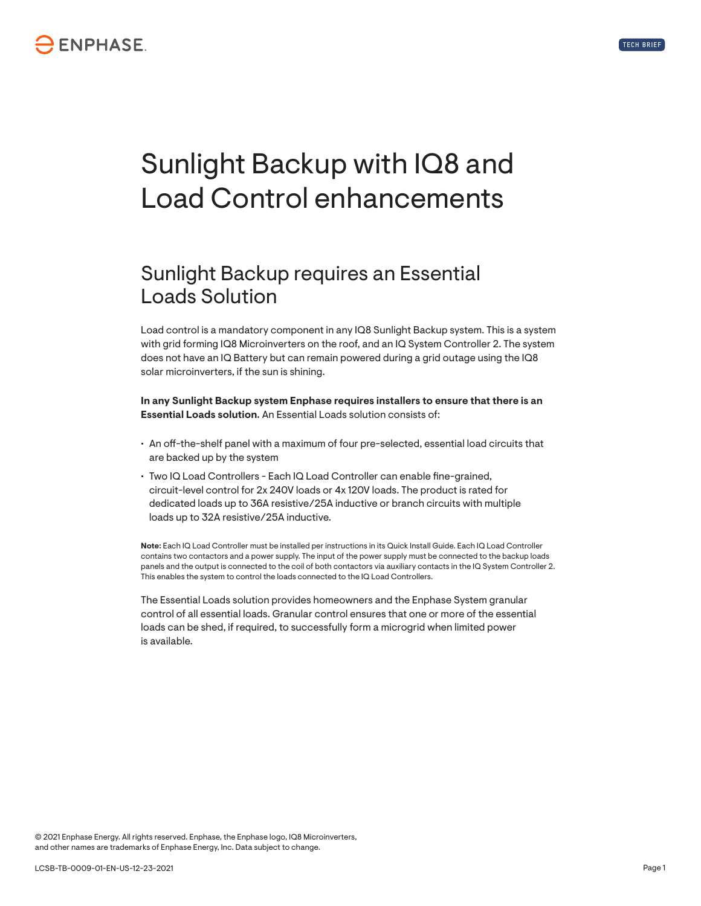



## Sunlight Backup with IQ8 and Load Control enhancements

## Sunlight Backup requires an Essential Loads Solution

Load control is a mandatory component in any IQ8 Sunlight Backup system. This is a system with grid forming IQ8 Microinverters on the roof, and an IQ System Controller 2. The system does not have an IQ Battery but can remain powered during a grid outage using the IQ8 solar microinverters, if the sun is shining.

**In any Sunlight Backup system Enphase requires installers to ensure that there is an Essential Loads solution.** An Essential Loads solution consists of:

- An off-the-shelf panel with a maximum of four pre-selected, essential load circuits that are backed up by the system
- Two IQ Load Controllers Each IQ Load Controller can enable fine-grained, circuit-level control for 2x 240V loads or 4x 120V loads. The product is rated for dedicated loads up to 36A resistive/25A inductive or branch circuits with multiple loads up to 32A resistive/25A inductive.

**Note:** Each IQ Load Controller must be installed per instructions in its Quick Install Guide. Each IQ Load Controller contains two contactors and a power supply. The input of the power supply must be connected to the backup loads panels and the output is connected to the coil of both contactors via auxiliary contacts in the IQ System Controller 2. This enables the system to control the loads connected to the IQ Load Controllers.

The Essential Loads solution provides homeowners and the Enphase System granular control of all essential loads. Granular control ensures that one or more of the essential loads can be shed, if required, to successfully form a microgrid when limited power is available.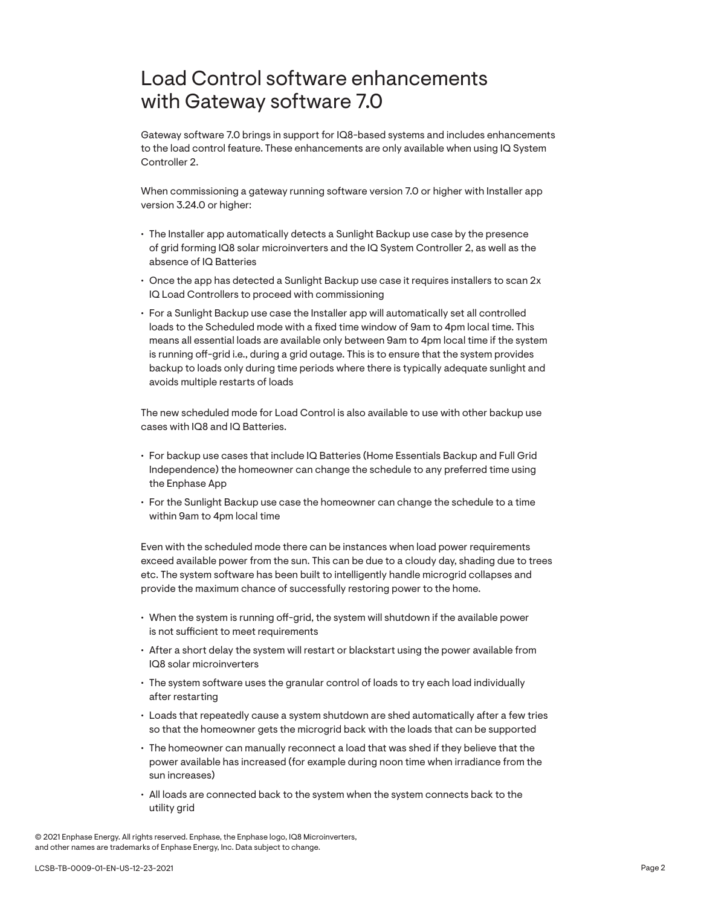## Load Control software enhancements with Gateway software 7.0

Gateway software 7.0 brings in support for IQ8-based systems and includes enhancements to the load control feature. These enhancements are only available when using IQ System Controller 2.

When commissioning a gateway running software version 7.0 or higher with Installer app version 3.24.0 or higher:

- The Installer app automatically detects a Sunlight Backup use case by the presence of grid forming IQ8 solar microinverters and the IQ System Controller 2, as well as the absence of IQ Batteries
- Once the app has detected a Sunlight Backup use case it requires installers to scan 2x IQ Load Controllers to proceed with commissioning
- For a Sunlight Backup use case the Installer app will automatically set all controlled loads to the Scheduled mode with a fixed time window of 9am to 4pm local time. This means all essential loads are available only between 9am to 4pm local time if the system is running off-grid i.e., during a grid outage. This is to ensure that the system provides backup to loads only during time periods where there is typically adequate sunlight and avoids multiple restarts of loads

The new scheduled mode for Load Control is also available to use with other backup use cases with IQ8 and IQ Batteries.

- For backup use cases that include IQ Batteries (Home Essentials Backup and Full Grid Independence) the homeowner can change the schedule to any preferred time using the Enphase App
- For the Sunlight Backup use case the homeowner can change the schedule to a time within 9am to 4pm local time

Even with the scheduled mode there can be instances when load power requirements exceed available power from the sun. This can be due to a cloudy day, shading due to trees etc. The system software has been built to intelligently handle microgrid collapses and provide the maximum chance of successfully restoring power to the home.

- When the system is running off-grid, the system will shutdown if the available power is not sufficient to meet requirements
- After a short delay the system will restart or blackstart using the power available from IQ8 solar microinverters
- The system software uses the granular control of loads to try each load individually after restarting
- Loads that repeatedly cause a system shutdown are shed automatically after a few tries so that the homeowner gets the microgrid back with the loads that can be supported
- The homeowner can manually reconnect a load that was shed if they believe that the power available has increased (for example during noon time when irradiance from the sun increases)
- All loads are connected back to the system when the system connects back to the utility grid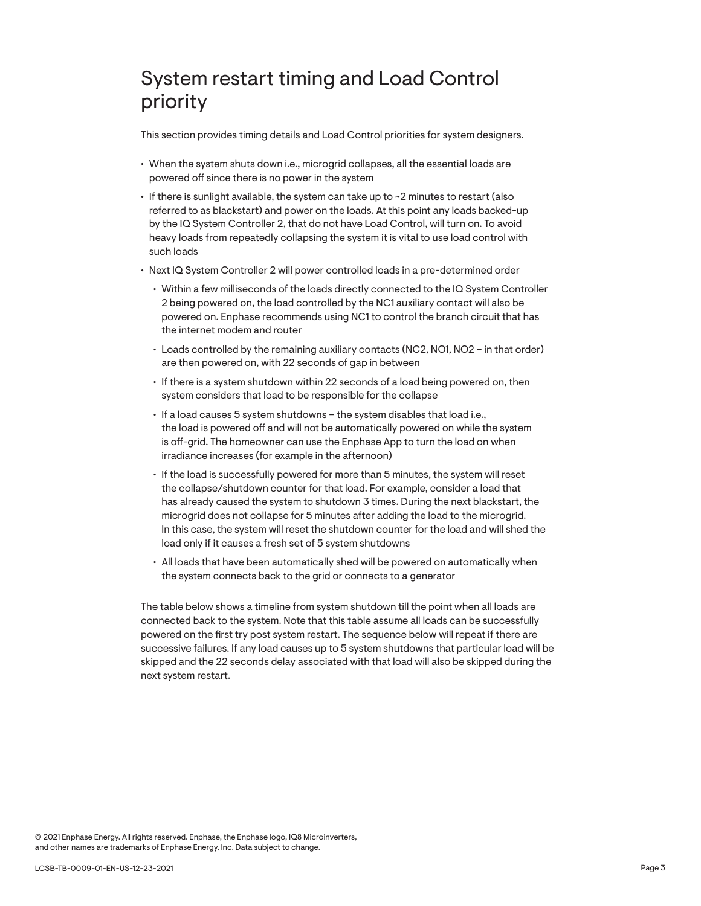## System restart timing and Load Control priority

This section provides timing details and Load Control priorities for system designers.

- When the system shuts down i.e., microgrid collapses, all the essential loads are powered off since there is no power in the system
- If there is sunlight available, the system can take up to ~2 minutes to restart (also referred to as blackstart) and power on the loads. At this point any loads backed-up by the IQ System Controller 2, that do not have Load Control, will turn on. To avoid heavy loads from repeatedly collapsing the system it is vital to use load control with such loads
- Next IQ System Controller 2 will power controlled loads in a pre-determined order
	- Within a few milliseconds of the loads directly connected to the IQ System Controller 2 being powered on, the load controlled by the NC1 auxiliary contact will also be powered on. Enphase recommends using NC1 to control the branch circuit that has the internet modem and router
	- Loads controlled by the remaining auxiliary contacts (NC2, NO1, NO2 in that order) are then powered on, with 22 seconds of gap in between
	- If there is a system shutdown within 22 seconds of a load being powered on, then system considers that load to be responsible for the collapse
	- If a load causes 5 system shutdowns the system disables that load i.e., the load is powered off and will not be automatically powered on while the system is off-grid. The homeowner can use the Enphase App to turn the load on when irradiance increases (for example in the afternoon)
	- If the load is successfully powered for more than 5 minutes, the system will reset the collapse/shutdown counter for that load. For example, consider a load that has already caused the system to shutdown 3 times. During the next blackstart, the microgrid does not collapse for 5 minutes after adding the load to the microgrid. In this case, the system will reset the shutdown counter for the load and will shed the load only if it causes a fresh set of 5 system shutdowns
	- All loads that have been automatically shed will be powered on automatically when the system connects back to the grid or connects to a generator

The table below shows a timeline from system shutdown till the point when all loads are connected back to the system. Note that this table assume all loads can be successfully powered on the first try post system restart. The sequence below will repeat if there are successive failures. If any load causes up to 5 system shutdowns that particular load will be skipped and the 22 seconds delay associated with that load will also be skipped during the next system restart.